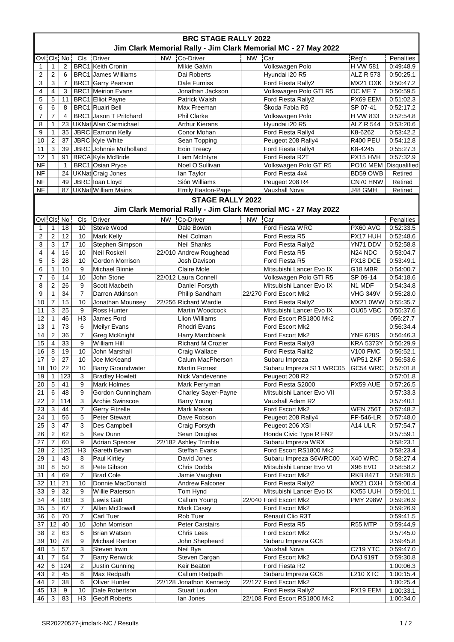| <b>BRC STAGE RALLY 2022</b><br>Jim Clark Memorial Rally - Jim Clark Memorial MC - 27 May 2022 |                           |                |                |                               |           |                            |           |                               |                                 |              |  |  |
|-----------------------------------------------------------------------------------------------|---------------------------|----------------|----------------|-------------------------------|-----------|----------------------------|-----------|-------------------------------|---------------------------------|--------------|--|--|
|                                                                                               |                           | Ovl Cls No     | Cls            | Driver                        | <b>NW</b> | Co-Driver                  | <b>NW</b> | Car                           | Reg'n                           | Penalties    |  |  |
| 1                                                                                             | 1                         | $\overline{2}$ |                | <b>BRC1</b> Keith Cronin      |           | <b>Mikie Galvin</b>        |           | Volkswagen Polo               | <b>H VW 581</b>                 | 0:49:48.9    |  |  |
| $\overline{2}$                                                                                | $\overline{2}$            | 6              |                | <b>BRC1</b> James Williams    |           | Dai Roberts                |           | Hyundai i20 R5                | ALZ R 573                       | 0:50:25.1    |  |  |
| 3                                                                                             | 3                         | $\overline{7}$ |                | <b>BRC1</b> Garry Pearson     |           | Dale Furniss               |           | Ford Fiesta Rally2            | MX21 OXK                        | 0:50:47.2    |  |  |
| 4                                                                                             | 4                         | 3              |                | <b>BRC1</b> Meirion Evans     |           | Jonathan Jackson           |           | Volkswagen Polo GTI R5        | OC ME 7                         | 0:50:59.5    |  |  |
| 5                                                                                             | 5                         | 11             |                | BRC1 Elliot Payne             |           | Patrick Walsh              |           | Ford Fiesta Rally2            | PX69 EEM                        | 0:51:02.3    |  |  |
| 6                                                                                             | 6                         | 8              |                | BRC1 Ruairi Bell              |           | Max Freeman                |           | Škoda Fabia R5                | SP 07-41                        | 0:52:17.2    |  |  |
| 7                                                                                             | $\overline{7}$            | $\overline{4}$ |                | <b>BRC1</b> Jason T Pritchard |           | <b>Phil Clarke</b>         |           | Volkswagen Polo               | H VW 833                        | 0:52:54.8    |  |  |
|                                                                                               |                           |                |                | UKNat Alan Carmichael         |           |                            |           |                               |                                 |              |  |  |
| 8                                                                                             | 1                         | 23             |                |                               |           | <b>Arthur Kierans</b>      |           | Hyundai i20 R5                | <b>ALZ R 544</b>                | 0:53:20.6    |  |  |
| 9                                                                                             | 1                         | 35             |                | JBRC Eamonn Kelly             |           | Conor Mohan                |           | Ford Fiesta Rally4            | K8-6262                         | 0:53:42.2    |  |  |
| 10                                                                                            | $\mathbf 2$               | 37             |                | JBRC Kyle White               |           | Sean Topping               |           | Peugeot 208 Rally4            | <b>R400 PEU</b>                 | 0:54:12.8    |  |  |
| 11                                                                                            | $\mathbf{3}$              | 39             |                | JBRC Johnnie Mulholland       |           | Eoin Treacy                |           | Ford Fiesta Rally4            | K8-4245                         | 0:55:27.3    |  |  |
| 12                                                                                            | 1                         | 91             |                | <b>BRCA</b> Kyle McBride      |           | Liam McIntyre              |           | Ford Fiesta R2T               | PX15 HVH                        | 0:57:32.9    |  |  |
| <b>NF</b>                                                                                     |                           | $\mathbf{1}$   |                | BRC1 Osian Pryce              |           | Noel O'Sullivan            |           | Volkswagen Polo GT R5         | PO10 MEM                        | Disqualified |  |  |
| <b>NF</b>                                                                                     |                           | 24             |                | UKNat Craig Jones             |           | lan Taylor                 |           | Ford Fiesta 4x4               | BD59 OWB                        | Retired      |  |  |
| <b>NF</b>                                                                                     |                           | 49             |                | JBRC loan Lloyd               |           | Siôn Williams              |           | Peugeot 208 R4                | CN70 HNW                        | Retired      |  |  |
| <b>NF</b>                                                                                     |                           |                |                | 87   UKNat William Mains      |           | <b>Emily Easton-Page</b>   |           | Vauxhall Nova                 | J48 GMH                         | Retired      |  |  |
|                                                                                               |                           |                |                |                               |           | <b>STAGE RALLY 2022</b>    |           |                               |                                 |              |  |  |
| Jim Clark Memorial Rally - Jim Clark Memorial MC - 27 May 2022                                |                           |                |                |                               |           |                            |           |                               |                                 |              |  |  |
| Ovi Cis No                                                                                    |                           |                | Cls            | <b>Driver</b>                 | <b>NW</b> | Co-Driver                  | NW        | Car                           |                                 | Penalties    |  |  |
| $\mathbf{1}$                                                                                  | 1                         | 18             | 10             | Steve Wood                    |           | Dale Bowen                 |           | Ford Fiesta WRC               | PX60 AVG                        | 0:52:33.5    |  |  |
| $\overline{2}$                                                                                | $\overline{c}$            | 12             | 10             | <b>Mark Kelly</b>             |           | Neil Colman                |           | Ford Fiesta R5                | PX17 HUH                        | 0:52:48.6    |  |  |
| 3                                                                                             | 3                         | 17             | 10             | Stephen Simpson               |           | <b>Neil Shanks</b>         |           | Ford Fiesta Rally2            | YN71 DDV                        | 0:52:58.8    |  |  |
| 4                                                                                             | $\overline{\mathbf{4}}$   | 16             | 10             | Neil Roskell                  |           | 22/010 Andrew Roughead     |           | Ford Fiesta R5                | N <sub>24</sub> N <sub>DC</sub> | 0:53:04.7    |  |  |
| 5                                                                                             | 5                         | 28             | 10             | Gordon Morrison               |           | Josh Davison               |           | Ford Fiesta R5                | PX18 DCE                        | 0:53:49.1    |  |  |
| 6                                                                                             | $\mathbf{1}$              | 10             | 9              | Michael Binnie                |           | <b>Claire Mole</b>         |           | Mitsubishi Lancer Evo IX      | G18 MBR                         | 0:54:00.7    |  |  |
| 7                                                                                             | 6                         | 14             | 10             | John Stone                    |           | 22/012 Laura Connell       |           | Volkswagen Polo GTI R5        | SP 09-14                        | 0:54:18.6    |  |  |
| 8                                                                                             | $\overline{2}$            | 26             | 9              | Scott Macbeth                 |           |                            |           | Mitsubishi Lancer Evo IX      | N1 MDF                          | 0:54:34.8    |  |  |
| 9                                                                                             | $\mathbf{1}$              | 34             | $\overline{7}$ | Darren Atkinson               |           | Daniel Forsyth             |           | 22/270 Ford Escort Mk2        |                                 |              |  |  |
|                                                                                               |                           |                |                |                               |           | Philip Sandham             |           |                               | <b>VHG 349V</b>                 | 0:55:28.0    |  |  |
| 10                                                                                            | $\overline{7}$            | 15             | 10             | Jonathan Mounsey              |           | 22/256 Richard Wardle      |           | Ford Fiesta Rally2            | MX21 0WW                        | 0:55:35.7    |  |  |
| 11                                                                                            | 3                         | 25             | 9              | Ross Hunter                   |           | Martin Woodcock            |           | Mitsubishi Lancer Evo IX      | OU05 VBC                        | 0:55:37.6    |  |  |
| 12                                                                                            | $\mathbf{1}$              | 46             | H <sub>3</sub> | James Ford                    |           | Llion Williams             |           | Ford Escort RS1800 Mk2        |                                 | 056:27.7     |  |  |
| 13                                                                                            | $\mathbf{1}$              | 73             | 6              | Meilyr Evans                  |           | Rhodri Evans               |           | Ford Escort Mk2               |                                 | 0:56:34.4    |  |  |
| 14                                                                                            | $\overline{2}$            | 36             | 7              | Greg McKnight                 |           | Harry Marchbank            |           | Ford Escort Mk2               | <b>YNF 628S</b>                 | 0:56:46.3    |  |  |
| 15                                                                                            | $\overline{\mathbf{4}}$   | 33             | 9              | <b>William Hill</b>           |           | <b>Richard M Crozier</b>   |           | Ford Fiesta Rally3            | <b>KRA 5373Y</b>                | 0:56:29.9    |  |  |
| 16                                                                                            | 8                         | 19             | 10             | <b>John Marshall</b>          |           | Craig Wallace              |           | Ford Fiesta Rallt2            | <b>V100 FMC</b>                 | 0:56:52.1    |  |  |
| 17                                                                                            | 9                         | 27             | 10             | Joe McKeand                   |           | Calum MacPherson           |           | Subaru Impreza                | WP51 ZKF                        | 0:56:53.6    |  |  |
| 18                                                                                            | 10                        | 22             | 10             | <b>Barry Groundwater</b>      |           | <b>Martin Forrest</b>      |           | Subaru Impreza S11 WRC05      | GC54 WRC                        | 0:57:01.8    |  |  |
| 19                                                                                            | $\mathbf{1}$              | 123            | 3              | <b>Bradley Howlett</b>        |           | Nick Vandevenne            |           | Peugeot 208 R2                |                                 | 0:57:01.8    |  |  |
| 20                                                                                            | $\overline{5}$            | 41             | 9              | Mark Holmes                   |           | Mark Perryman              |           | Ford Fiesta S2000             | PX59 AUE                        | 0:57:26.5    |  |  |
| 21                                                                                            | 6                         | 48             | 9              | Gordon Cunningham             |           | <b>Charley Sayer-Payne</b> |           | Mitsubishi Lancer Evo VII     |                                 | 0:57:33.3    |  |  |
| 22                                                                                            | 2                         | 114            | 3              | Archie Swinscoe               |           | <b>Barry Young</b>         |           | Vauxhall Adam R2              |                                 | 0:57:40.1    |  |  |
| 23                                                                                            | 3                         | 44             | 7              | Gerry Fitzelle                |           | Mark Mason                 |           | Ford Escort Mk2               | <b>WEN 756T</b>                 | 0:57:48.2    |  |  |
| 24                                                                                            | 1                         | 56             | 5              | Peter Stewart                 |           | Dave Robson                |           | Peugeot 208 Rally4            | FP-546-LR                       | 0:57:48.0    |  |  |
| 25                                                                                            | $\mathbf 3$               | 47             | 3              | Des Campbell                  |           | Craig Forsyth              |           | Peugeot 206 XSI               | A14 ULR                         | 0:57:54.7    |  |  |
| 26                                                                                            | $\sqrt{2}$                | 62             | 5              | Kev Dunn                      |           | Sean Douglas               |           | Honda Civic Type R FN2        |                                 | 0:57:59.1    |  |  |
|                                                                                               |                           |                | 9              |                               |           |                            |           |                               |                                 |              |  |  |
| 27                                                                                            | 7                         | 60             |                | Adrian Spencer                |           | 22/182 Ashley Trimble      |           | Subaru Impreza WRX            |                                 | 0:58:23.1    |  |  |
| 28                                                                                            | $\overline{2}$            | 125            | H <sub>3</sub> | Gareth Bevan                  |           | Steffan Evans              |           | Ford Escort RS1800 Mk2        |                                 | 0:58:23.4    |  |  |
| 29                                                                                            | 1                         | 43             | 8              | Paul Kirtley                  |           | David Jones                |           | Subaru Impreza S6WRC00        | X40 WRC                         | 0:58:27.4    |  |  |
| 30                                                                                            | $\bf8$                    | 50             | 8              | Pete Gibson                   |           | <b>Chris Dodds</b>         |           | Mitsubishi Lancer Evo VI      | X96 EVO                         | 0:58:58.2    |  |  |
| 31                                                                                            | 4                         | 69             | 7              | <b>Brad Cole</b>              |           | Jamie Vaughan              |           | Ford Escort Mk2               | <b>RKB 847T</b>                 | 0:58:28.5    |  |  |
| 32                                                                                            | 11                        | 21             | 10             | Donnie MacDonald              |           | <b>Andrew Falconer</b>     |           | Ford Fiesta Rally2            | MX21 OXH                        | 0:59:00.4    |  |  |
| 33                                                                                            | 9                         | 32             | 9              | Willie Paterson               |           | Tom Hynd                   |           | Mitsubishi Lancer Evo IX      | KX55 UUH                        | 0:59:01.1    |  |  |
| 34                                                                                            | 4                         | 103            | 3              | Lewis Gatt                    |           | Callum Young               |           | 22/040 Ford Escort Mk2        | <b>PMY 298W</b>                 | 0:59:26.9    |  |  |
| 35                                                                                            | $\overline{5}$            | 67             | $\overline{7}$ | Allan McDowall                |           | Mark Casey                 |           | Ford Escort Mk2               |                                 | 0:59:26.9    |  |  |
| 36                                                                                            | $\,6$                     | 70             | 7              | Carl Tuer                     |           | Rob Tuer                   |           | <b>Renault Clio R3T</b>       |                                 | 0:59:41.5    |  |  |
| 37                                                                                            | 12                        | 40             | 10             | John Morrison                 |           | Peter Carstairs            |           | Ford Fiesta R5                | R55 MTP                         | 0:59:44,9    |  |  |
| 38                                                                                            | $\overline{2}$            | 63             | 6              | Brian Watson                  |           | <b>Chris Lees</b>          |           | Ford Escort Mk2               |                                 | 0:57:45.0    |  |  |
| 39                                                                                            | 10                        | 78             | 9              | Michael Renton                |           | John Shepheard             |           | Subaru Impreza GC8            |                                 | 0:59:45.8    |  |  |
| 40                                                                                            | $\sqrt{5}$                | 57             | 3              | Steven Irwin                  |           | Neil Bye                   |           | Vauxhall Nova                 | C719 YTC                        | 0:59:47.0    |  |  |
| 41                                                                                            | 7                         | 54             | 7              | <b>Barry Renwick</b>          |           | Steven Dargan              |           | Ford Escort Mk2               | <b>DAJ 919T</b>                 | 0:59:30.8    |  |  |
|                                                                                               | 6                         | 124            | $\overline{c}$ | Justin Gunning                |           | Keir Beaton                |           | Ford Fiesta R2                |                                 | 1:00:06.3    |  |  |
| 42                                                                                            |                           |                |                |                               |           |                            |           |                               |                                 |              |  |  |
| 43                                                                                            | $\overline{2}$            | 45             | 8              | Max Redpath                   |           | Callum Redpath             |           | Subaru Impreza GC8            | <b>L210 XTC</b>                 | 1:00:15.4    |  |  |
| 44                                                                                            | $\sqrt{2}$                | 38             | 6              | Oliver Hunter                 |           | 22/128 Jonathon Kennedy    | 22/127    | Ford Escort Mk2               |                                 | 1:00:25.4    |  |  |
| 45                                                                                            | 13                        | 9              | 10             | Dale Robertson                |           | Stuart Loudon              |           | Ford Fiesta Rally2            | PX19 EEM                        | 1:00:33.1    |  |  |
| 46                                                                                            | $\ensuremath{\mathsf{3}}$ | 83             | H <sub>3</sub> | <b>Geoff Roberts</b>          |           | lan Jones                  |           | 22/108 Ford Escort RS1800 Mk2 |                                 | 1:00:34.0    |  |  |